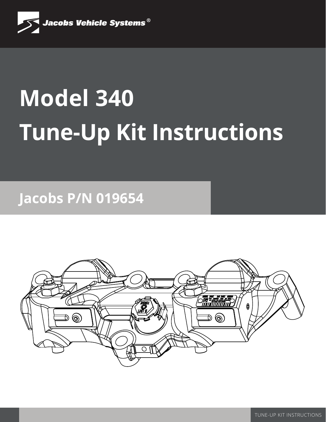

# **Model 340 Tune-Up Kit Instructions**

**Jacobs P/N 019654**

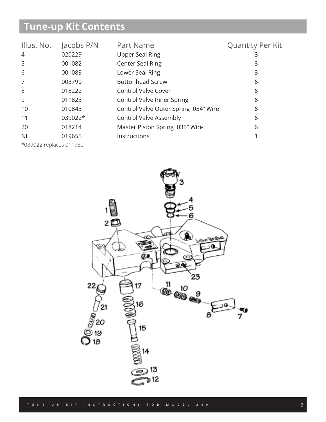# **Tune-up Kit Contents**

| Illus. No.     | Jacobs P/N | Part Name                             | <b>Quantity Per Kit</b> |
|----------------|------------|---------------------------------------|-------------------------|
| $\overline{4}$ | 020229     | <b>Upper Seal Ring</b>                | 3                       |
| 5              | 001082     | <b>Center Seal Ring</b>               | 3                       |
| 6              | 001083     | Lower Seal Ring                       | 3                       |
| 7              | 003790     | <b>Buttonhead Screw</b>               | 6                       |
| 8              | 018222     | <b>Control Valve Cover</b>            | 6                       |
| 9              | 011823     | Control Valve Inner Spring            | 6                       |
| 10             | 010843     | Control Valve Outer Spring .054" Wire | 6                       |
| 11             | 039022*    | <b>Control Valve Assembly</b>         | 6                       |
| 20             | 018214     | Master Piston Spring .035" Wire       | 6                       |
| N <sub>l</sub> | 019655     | Instructions                          |                         |
| .              |            |                                       |                         |

\*039022 replaces 011930

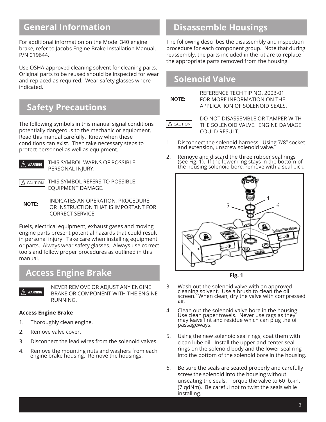#### **General Information**

For additional information on the Model 340 engine brake, refer to Jacobs Engine Brake Installation Manual, P/N 019644.

Use OSHA-approved cleaning solvent for cleaning parts. Original parts to be reused should be inspected for wear and replaced as required. Wear safety glasses where indicated.

#### **Safety Precautions**

The following symbols in this manual signal conditions potentially dangerous to the mechanic or equipment. Read this manual carefully. Know when these conditions can exist. Then take necessary steps to protect personnel as well as equipment.



WARNING THIS SYMBOL WARNS OF POSSIBLE PERSONAL INJURY.

 $\triangle$  CAUTION

 THIS SYMBOL REFERS TO POSSIBLE EQUIPMENT DAMAGE.

**NOTE:** INDICATES AN OPERATION, PROCEDURE OR INSTRUCTION THAT IS IMPORTANT FOR CORRECT SERVICE.

Fuels, electrical equipment, exhaust gases and moving engine parts present potential hazards that could result in personal injury. Take care when installing equipment or parts. Always wear safety glasses. Always use correct tools and follow proper procedures as outlined in this manual.

#### **Access Engine Brake**



NEVER REMOVE OR ADJUST ANY ENGINE BRAKE OR COMPONENT WITH THE ENGINE RUNNING.

#### **Access Engine Brake**

- 1. Thoroughly clean engine.
- 2. Remove valve cover.
- 3. Disconnect the lead wires from the solenoid valves.
- 4. Remove the mounting nuts and washers from each engine brake housing. Remove the housings.

## **Disassemble Housings**

The following describes the disassembly and inspection procedure for each component group. Note that during reassembly, the parts included in the kit are to replace the appropriate parts removed from the housing.

## **Solenoid Valve**

NOTE:

REFERENCE TECH TIP NO. 2003-01 FOR MORE INFORMATION ON THE APPLICATION OF SOLENOID SEALS.

 $\triangle$  CAUTION

DO NOT DISASSEMBLE OR TAMPER WITH THE SOLENOID VALVE. ENGINE DAMAGE COULD RESULT.

- 1. Disconnect the solenoid harness. Using 7/8" socket and extension, unscrew solenoid valve.
- 2. Remove and discard the three rubber seal rings (see Fig. 1). If the lower ring stays in the bottom of the housing solenoid bore, r̃emove with a seal pick.



**Fig. 1**

- 3. Wash out the solenoid valve with an approved cleaning solvent. Use a brush to clean the oil screen. When clean, dry the valve with compressed air.
- 4. Clean out the solenoid valve bore in the housing. Use clean paper towels. Never use rags as they may leave lint and residue which can plug the oil passageways.
- 5. Using the new solenoid seal rings, coat them with clean lube oil. Install the upper and center seal rings on the solenoid body and the lower seal ring into the bottom of the solenoid bore in the housing.
- 6. Be sure the seals are seated properly and carefully screw the solenoid into the housing without unseating the seals. Torque the valve to 60 lb.-in. (7 qdNm). Be careful not to twist the seals while installing.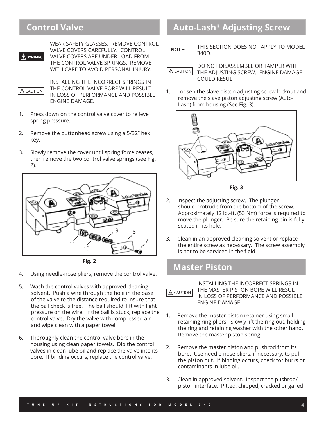#### **Control Valve**



WEAR SAFETY GLASSES. REMOVE CONTROL VALVE COVERS CAREFULLY. CONTROL VALVE COVERS ARE UNDER LOAD FROM THE CONTROL VALVE SPRINGS. REMOVE WITH CARE TO AVOID PERSONAL INJURY.

 $\triangle$  CAUTION

INSTALLING THE INCORRECT SPRINGS IN THE CONTROL VALVE BORE WILL RESULT IN LOSS OF PERFORMANCE AND POSSIBLE ENGINE DAMAGE.

- 1. Press down on the control valve cover to relieve spring pressure.
- 2. Remove the buttonhead screw using a 5/32" hex key.
- 3. Slowly remove the cover until spring force ceases, then remove the two control valve springs (see Fig. 2).





- 4. Using needle-nose pliers, remove the control valve.
- 5. Wash the control valves with approved cleaning solvent. Push a wire through the hole in the base of the valve to the distance required to insure that the ball check is free. The ball should lift with light pressure on the wire. If the ball is stuck, replace the control valve. Dry the valve with compressed air and wipe clean with a paper towel.
- 6. Thoroughly clean the control valve bore in the housing using clean paper towels. Dip the control valves in clean lube oil and replace the valve into its bore. If binding occurs, replace the control valve.

#### **Auto-Lash® Adjusting Screw**

THIS SECTION DOES NOT APPLY TO MODEL NOTE: 340D.

DO NOT DISASSEMBLE OR TAMPER WITH THE ADJUSTING SCREW. ENGINE DAMAGE COULD RESULT.  $\triangle$  CAUTION

1. Loosen the slave piston adjusting screw locknut and remove the slave piston adjusting screw (Auto-Lash) from housing (See Fig. 3).



**Fig. 3**

- 2. Inspect the adjusting screw. The plunger should protrude from the bottom of the screw. Approximately 12 lb.-ft. (53 Nm) force is required to move the plunger. Be sure the retaining pin is fully seated in its hole.
- 3. Clean in an approved cleaning solvent or replace the entire screw as necessary. The screw assembly is not to be serviced in the field.

#### **Master Piston**

 $\triangle$  CAUTION

INSTALLING THE INCORRECT SPRINGS IN THE MASTER PISTON BORE WILL RESULT IN LOSS OF PERFORMANCE AND POSSIBLE ENGINE DAMAGE.

- 1. Remove the master piston retainer using small retaining ring pliers. Slowly lift the ring out, holding the ring and retaining washer with the other hand. Remove the master piston spring.
- 2. Remove the master piston and pushrod from its bore. Use needle-nose pliers, if necessary, to pull the piston out. If binding occurs, check for burrs or contaminants in lube oil.
- 3. Clean in approved solvent. Inspect the pushrod/ piston interface. Pitted, chipped, cracked or galled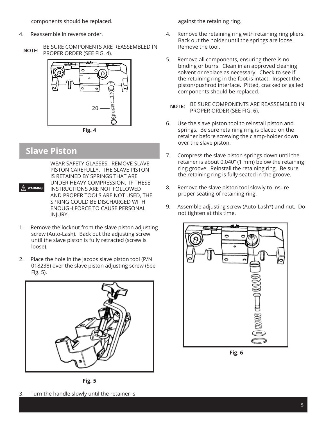components should be replaced.

- 4. Reassemble in reverse order.
- BE SURE COMPONENTS ARE REASSEMBLED IN **NOTE:** PROPER ORDER (SEE FIG. 4).



#### **Slave Piston**

 $\bigwedge$  warning

WEAR SAFETY GLASSES. REMOVE SLAVE PISTON CAREFULLY. THE SLAVE PISTON IS RETAINED BY SPRINGS THAT ARE UNDER HEAVY COMPRESSION. IF THESE INSTRUCTIONS ARE NOT FOLLOWED AND PROPER TOOLS ARE NOT USED, THE SPRING COULD BE DISCHARGED WITH ENOUGH FORCE TO CAUSE PERSONAL INJURY.

- 1. Remove the locknut from the slave piston adjusting screw (Auto-Lash). Back out the adjusting screw until the slave piston is fully retracted (screw is loose).
- 2. Place the hole in the Jacobs slave piston tool (P/N 018238) over the slave piston adjusting screw (See Fig. 5).



**Fig. 5**

against the retaining ring.

- 4. Remove the retaining ring with retaining ring pliers. Back out the holder until the springs are loose. Remove the tool.
- 5. Remove all components, ensuring there is no binding or burrs. Clean in an approved cleaning solvent or replace as necessary. Check to see if the retaining ring in the foot is intact. Inspect the piston/pushrod interface. Pitted, cracked or galled components should be replaced.

BE SURE COMPONENTS ARE REASSEMBLED IN **NOTE:** PROPER ORDER (SEE FIG. 6).

- 6. Use the slave piston tool to reinstall piston and springs. Be sure retaining ring is placed on the retainer before screwing the clamp-holder down over the slave piston.
- 7. Compress the slave piston springs down until the retainer is about 0.040" (1 mm) below the retaining ring groove. Reinstall the retaining ring. Be sure the retaining ring is fully seated in the groove.
- 8. Remove the slave piston tool slowly to insure proper seating of retaining ring.
- 9. Assemble adjusting screw (Auto-Lash**®**) and nut. Do not tighten at this time.



**Fig. 6**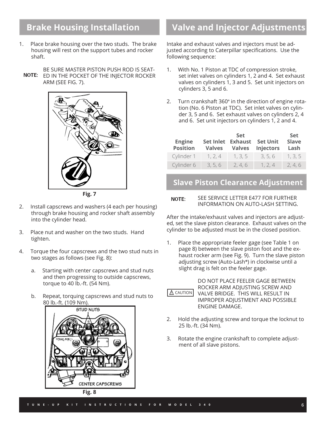#### **Brake Housing Installation**

- 1. Place brake housing over the two studs. The brake housing will rest on the support tubes and rocker shaft.
- BE SURE MASTER PISTON PUSH ROD IS SEAT-NOTE: ED IN THE POCKET OF THE INJECTOR ROCKER ARM (SEE FIG. 7).



**Fig. 7**

- 2. Install capscrews and washers (4 each per housing) through brake housing and rocker shaft assembly into the cylinder head.
- 3. Place nut and washer on the two studs. Hand tighten.
- 4. Torque the four capscrews and the two stud nuts in two stages as follows (see Fig. 8):
	- a. Starting with center capscrews and stud nuts and then progressing to outside capscrews, torque to 40 lb.-ft. (54 Nm).
	- b. Repeat, torquing capscrews and stud nuts to 80 lb.-ft. (109 Nm).



**Fig. 8**

## **Valve and Injector Adjustments**

Intake and exhaust valves and injectors must be adjusted according to Caterpillar specifications. Use the following sequence:

- 1. With No. 1 Piston at TDC of compression stroke, set inlet valves on cylinders 1, 2 and 4. Set exhaust valves on cylinders 1, 3 and 5. Set unit injectors on cylinders 3, 5 and 6.
- 2. Turn crankshaft 360**°** in the direction of engine rotation (No. 6 Piston at TDC). Set inlet valves on cylinder 3, 5 and 6. Set exhaust valves on cylinders 2, 4 and 6. Set unit injectors on cylinders 1, 2 and 4.

| <b>Engine</b><br><b>Position</b> | <b>Set Inlet</b><br><b>Valves</b> | <b>Set</b><br><b>Exhaust</b><br><b>Valves</b> | <b>Set Unit</b><br><b>Injectors</b> | <b>Set</b><br><b>Slave</b><br>Lash |
|----------------------------------|-----------------------------------|-----------------------------------------------|-------------------------------------|------------------------------------|
| Cylinder 1                       | 1, 2, 4                           | 1, 3, 5                                       | 3, 5, 6                             | 1, 3, 5                            |
| Cylinder 6                       | 3, 5, 6                           | 2, 4, 6                                       | 1, 2, 4                             | 2, 4, 6                            |

#### **Slave Piston Clearance Adjustment**

#### SEE SERVICE LETTER E477 FOR FURTHER NOTE: INFORMATION ON AUTO-LASH SETTING.

After the intake/exhaust valves and injectors are adjusted, set the slave piston clearance. Exhaust valves on the cylinder to be adjusted must be in the closed position.

1. Place the appropriate feeler gage (see Table 1 on page 8) between the slave piston foot and the exhaust rocker arm (see Fig. 9). Turn the slave piston adjusting screw (Auto-Lash**®**) in clockwise until a slight drag is felt on the feeler gage.



DO NOT PLACE FEELER GAGE BETWEEN ROCKER ARM ADJUSTING SCREW AND VALVE BRIDGE. THIS WILL RESULT IN IMPROPER ADJUSTMENT AND POSSIBLE ENGINE DAMAGE.

- 2. Hold the adjusting screw and torque the locknut to 25 lb.-ft. (34 Nm).
- 3. Rotate the engine crankshaft to complete adjustment of all slave pistons.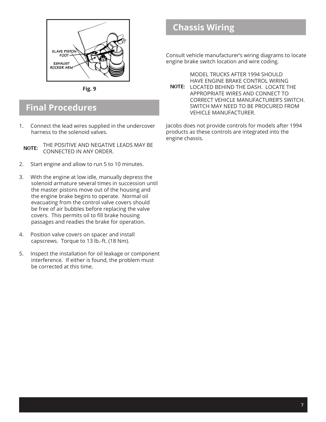

**Fig. 9**

#### **Final Procedures**

1. Connect the lead wires supplied in the undercover harness to the solenoid valves.

THE POSITIVE AND NEGATIVE LEADS MAY BE **NOTE:** CONNECTED IN ANY ORDER.

- 2. Start engine and allow to run 5 to 10 minutes.
- 3. With the engine at low idle, manually depress the solenoid armature several times in succession until the master pistons move out of the housing and the engine brake begins to operate. Normal oil evacuating from the control valve covers should be free of air bubbles before replacing the valve covers. This permits oil to fill brake housing passages and readies the brake for operation.
- 4. Position valve covers on spacer and install capscrews. Torque to 13 lb.-ft. (18 Nm).
- 5. Inspect the installation for oil leakage or component interference. If either is found, the problem must be corrected at this time.

#### **Chassis Wiring**

Consult vehicle manufacturer's wiring diagrams to locate engine brake switch location and wire coding.

MODEL TRUCKS AFTER 1994 SHOULD HAVE ENGINE BRAKE CONTROL WIRING NOTE: LOCATED BEHIND THE DASH. LOCATE THE APPROPRIATE WIRES AND CONNECT TO CORRECT VEHICLE MANUFACTURER'S SWITCH. SWITCH MAY NEED TO BE PROCURED FROM VEHICLE MANUFACTURER.

Jacobs does not provide controls for models after 1994 products as these controls are integrated into the engine chassis.